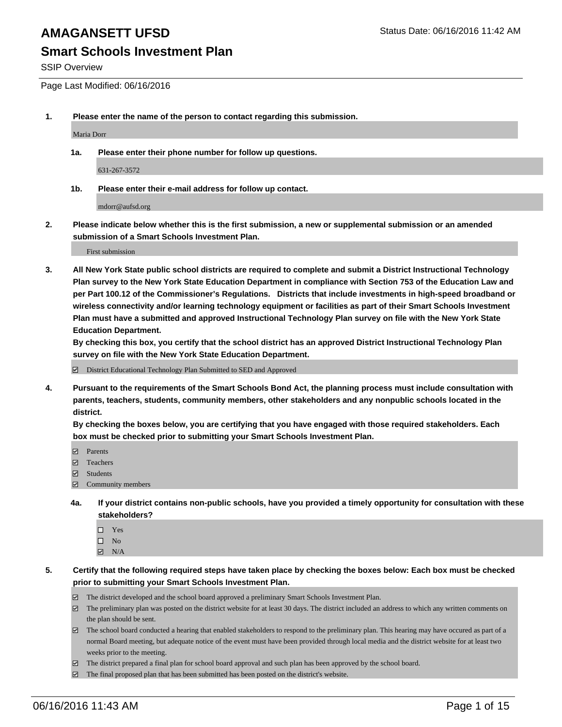#### **Smart Schools Investment Plan**

SSIP Overview

Page Last Modified: 06/16/2016

**1. Please enter the name of the person to contact regarding this submission.**

Maria Dorr

**1a. Please enter their phone number for follow up questions.**

631-267-3572

**1b. Please enter their e-mail address for follow up contact.**

mdorr@aufsd.org

**2. Please indicate below whether this is the first submission, a new or supplemental submission or an amended submission of a Smart Schools Investment Plan.**

First submission

**3. All New York State public school districts are required to complete and submit a District Instructional Technology Plan survey to the New York State Education Department in compliance with Section 753 of the Education Law and per Part 100.12 of the Commissioner's Regulations. Districts that include investments in high-speed broadband or wireless connectivity and/or learning technology equipment or facilities as part of their Smart Schools Investment Plan must have a submitted and approved Instructional Technology Plan survey on file with the New York State Education Department.** 

**By checking this box, you certify that the school district has an approved District Instructional Technology Plan survey on file with the New York State Education Department.**

District Educational Technology Plan Submitted to SED and Approved

**4. Pursuant to the requirements of the Smart Schools Bond Act, the planning process must include consultation with parents, teachers, students, community members, other stakeholders and any nonpublic schools located in the district.** 

**By checking the boxes below, you are certifying that you have engaged with those required stakeholders. Each box must be checked prior to submitting your Smart Schools Investment Plan.**

- **Parents**
- Teachers
- $\blacksquare$  Students
- Community members
- **4a. If your district contains non-public schools, have you provided a timely opportunity for consultation with these stakeholders?**
	- $\Box$  Yes  $\square$  No
	- $\boxtimes$  N/A
- **5. Certify that the following required steps have taken place by checking the boxes below: Each box must be checked prior to submitting your Smart Schools Investment Plan.**
	- The district developed and the school board approved a preliminary Smart Schools Investment Plan.
	- $\Box$  The preliminary plan was posted on the district website for at least 30 days. The district included an address to which any written comments on the plan should be sent.
	- $\Box$  The school board conducted a hearing that enabled stakeholders to respond to the preliminary plan. This hearing may have occured as part of a normal Board meeting, but adequate notice of the event must have been provided through local media and the district website for at least two weeks prior to the meeting.
	- The district prepared a final plan for school board approval and such plan has been approved by the school board.
	- $\boxdot$  The final proposed plan that has been submitted has been posted on the district's website.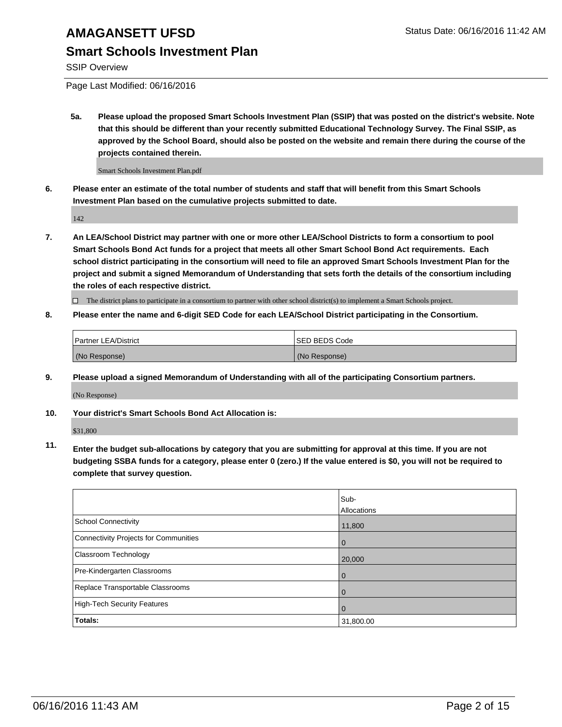### **Smart Schools Investment Plan**

SSIP Overview

Page Last Modified: 06/16/2016

**5a. Please upload the proposed Smart Schools Investment Plan (SSIP) that was posted on the district's website. Note that this should be different than your recently submitted Educational Technology Survey. The Final SSIP, as approved by the School Board, should also be posted on the website and remain there during the course of the projects contained therein.**

Smart Schools Investment Plan.pdf

**6. Please enter an estimate of the total number of students and staff that will benefit from this Smart Schools Investment Plan based on the cumulative projects submitted to date.**

142

**7. An LEA/School District may partner with one or more other LEA/School Districts to form a consortium to pool Smart Schools Bond Act funds for a project that meets all other Smart School Bond Act requirements. Each school district participating in the consortium will need to file an approved Smart Schools Investment Plan for the project and submit a signed Memorandum of Understanding that sets forth the details of the consortium including the roles of each respective district.**

 $\Box$  The district plans to participate in a consortium to partner with other school district(s) to implement a Smart Schools project.

**8. Please enter the name and 6-digit SED Code for each LEA/School District participating in the Consortium.**

| <b>Partner LEA/District</b> | ISED BEDS Code |
|-----------------------------|----------------|
| (No Response)               | (No Response)  |

**9. Please upload a signed Memorandum of Understanding with all of the participating Consortium partners.**

(No Response)

**10. Your district's Smart Schools Bond Act Allocation is:**

\$31,800

**11. Enter the budget sub-allocations by category that you are submitting for approval at this time. If you are not budgeting SSBA funds for a category, please enter 0 (zero.) If the value entered is \$0, you will not be required to complete that survey question.**

|                                       | Sub-<br>Allocations |
|---------------------------------------|---------------------|
| <b>School Connectivity</b>            | 11,800              |
| Connectivity Projects for Communities | 0                   |
| <b>Classroom Technology</b>           | 20,000              |
| Pre-Kindergarten Classrooms           | 0                   |
| Replace Transportable Classrooms      | O                   |
| High-Tech Security Features           |                     |
| Totals:                               | 31,800.00           |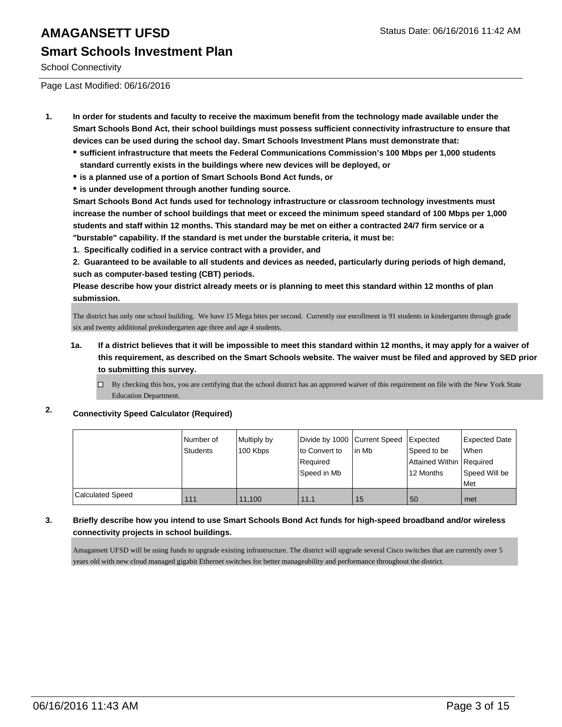# **AMAGANSETT UFSD** Status Date: 06/16/2016 11:42 AM **Smart Schools Investment Plan**

School Connectivity

Page Last Modified: 06/16/2016

- **1. In order for students and faculty to receive the maximum benefit from the technology made available under the Smart Schools Bond Act, their school buildings must possess sufficient connectivity infrastructure to ensure that devices can be used during the school day. Smart Schools Investment Plans must demonstrate that:**
	- **sufficient infrastructure that meets the Federal Communications Commission's 100 Mbps per 1,000 students standard currently exists in the buildings where new devices will be deployed, or**
	- **is a planned use of a portion of Smart Schools Bond Act funds, or**
	- **is under development through another funding source.**

**Smart Schools Bond Act funds used for technology infrastructure or classroom technology investments must increase the number of school buildings that meet or exceed the minimum speed standard of 100 Mbps per 1,000 students and staff within 12 months. This standard may be met on either a contracted 24/7 firm service or a "burstable" capability. If the standard is met under the burstable criteria, it must be:**

**1. Specifically codified in a service contract with a provider, and**

**2. Guaranteed to be available to all students and devices as needed, particularly during periods of high demand, such as computer-based testing (CBT) periods.**

**Please describe how your district already meets or is planning to meet this standard within 12 months of plan submission.**

The district has only one school building. We have 15 Mega bites per second. Currently our enrollment is 91 students in kindergarten through grade six and twenty additional prekindergarten age three and age 4 students.

- **1a. If a district believes that it will be impossible to meet this standard within 12 months, it may apply for a waiver of this requirement, as described on the Smart Schools website. The waiver must be filed and approved by SED prior to submitting this survey.**
	- $\Box$  By checking this box, you are certifying that the school district has an approved waiver of this requirement on file with the New York State Education Department.

#### **2. Connectivity Speed Calculator (Required)**

|                         | l Number of<br>Students | Multiply by<br>100 Kbps | Divide by 1000 Current Speed<br>to Convert to<br>Required<br>Speed in Mb | lin Mb | Expected<br>Speed to be<br>Attained Within   Required<br>12 Months | <b>Expected Date</b><br>When<br>Speed Will be<br>Met |
|-------------------------|-------------------------|-------------------------|--------------------------------------------------------------------------|--------|--------------------------------------------------------------------|------------------------------------------------------|
| <b>Calculated Speed</b> | 111                     | 11.100                  | 11.1                                                                     | 15     | 50                                                                 | l met                                                |

#### **3. Briefly describe how you intend to use Smart Schools Bond Act funds for high-speed broadband and/or wireless connectivity projects in school buildings.**

Amagansett UFSD will be using funds to upgrade existing infrastructure. The district will upgrade several Cisco switches that are currently over 5 years old with new cloud managed gigabit Ethernet switches for better manageability and performance throughout the district.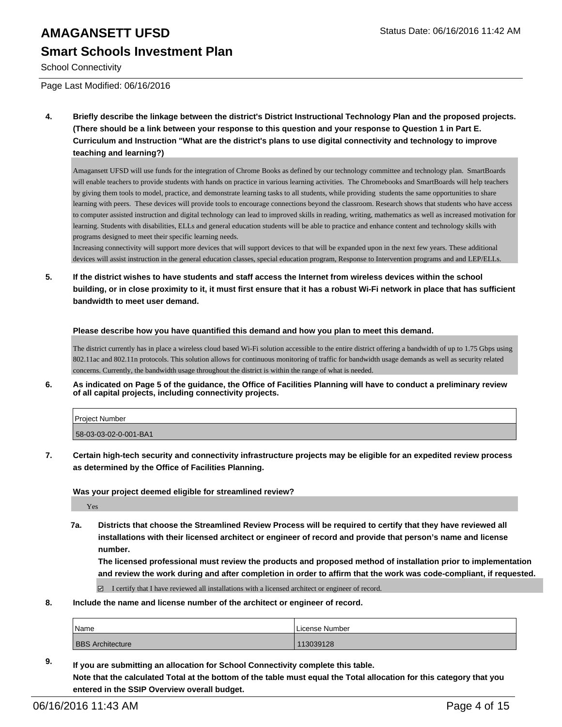# **AMAGANSETT UFSD** Status Date: 06/16/2016 11:42 AM **Smart Schools Investment Plan**

School Connectivity

Page Last Modified: 06/16/2016

**4. Briefly describe the linkage between the district's District Instructional Technology Plan and the proposed projects. (There should be a link between your response to this question and your response to Question 1 in Part E. Curriculum and Instruction "What are the district's plans to use digital connectivity and technology to improve teaching and learning?)**

Amagansett UFSD will use funds for the integration of Chrome Books as defined by our technology committee and technology plan. SmartBoards will enable teachers to provide students with hands on practice in various learning activities. The Chromebooks and SmartBoards will help teachers by giving them tools to model, practice, and demonstrate learning tasks to all students, while providing students the same opportunities to share learning with peers. These devices will provide tools to encourage connections beyond the classroom. Research shows that students who have access to computer assisted instruction and digital technology can lead to improved skills in reading, writing, mathematics as well as increased motivation for learning. Students with disabilities, ELLs and general education students will be able to practice and enhance content and technology skills with programs designed to meet their specific learning needs.

Increasing connectivity will support more devices that will support devices to that will be expanded upon in the next few years. These additional devices will assist instruction in the general education classes, special education program, Response to Intervention programs and and LEP/ELLs.

**5. If the district wishes to have students and staff access the Internet from wireless devices within the school building, or in close proximity to it, it must first ensure that it has a robust Wi-Fi network in place that has sufficient bandwidth to meet user demand.**

**Please describe how you have quantified this demand and how you plan to meet this demand.**

The district currently has in place a wireless cloud based Wi-Fi solution accessible to the entire district offering a bandwidth of up to 1.75 Gbps using 802.11ac and 802.11n protocols. This solution allows for continuous monitoring of traffic for bandwidth usage demands as well as security related concerns. Currently, the bandwidth usage throughout the district is within the range of what is needed.

**6. As indicated on Page 5 of the guidance, the Office of Facilities Planning will have to conduct a preliminary review of all capital projects, including connectivity projects.**

| Proiect Number        |  |
|-----------------------|--|
| 58-03-03-02-0-001-BA1 |  |

**7. Certain high-tech security and connectivity infrastructure projects may be eligible for an expedited review process as determined by the Office of Facilities Planning.**

**Was your project deemed eligible for streamlined review?**

Yes

**7a. Districts that choose the Streamlined Review Process will be required to certify that they have reviewed all installations with their licensed architect or engineer of record and provide that person's name and license number.**

**The licensed professional must review the products and proposed method of installation prior to implementation and review the work during and after completion in order to affirm that the work was code-compliant, if requested.**

 $\boxtimes$  I certify that I have reviewed all installations with a licensed architect or engineer of record.

**8. Include the name and license number of the architect or engineer of record.**

| <b>Name</b>             | License Number |
|-------------------------|----------------|
| <b>BBS Architecture</b> | 113039128      |

**9. If you are submitting an allocation for School Connectivity complete this table. Note that the calculated Total at the bottom of the table must equal the Total allocation for this category that you entered in the SSIP Overview overall budget.**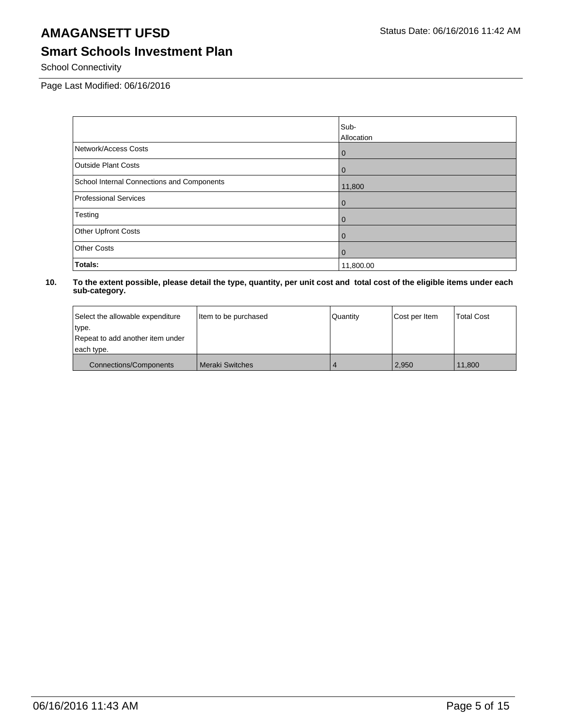# **Smart Schools Investment Plan**

School Connectivity

Page Last Modified: 06/16/2016

|                                            | Sub-            |
|--------------------------------------------|-----------------|
|                                            | Allocation      |
| Network/Access Costs                       | $\vert 0 \vert$ |
| <b>Outside Plant Costs</b>                 | $\overline{0}$  |
| School Internal Connections and Components | 11,800          |
| <b>Professional Services</b>               | $\overline{0}$  |
| Testing                                    | $\overline{0}$  |
| Other Upfront Costs                        | l 0             |
| <b>Other Costs</b>                         | l 0             |
| Totals:                                    | 11,800.00       |

| Select the allowable expenditure | Item to be purchased   | Quantity | Cost per Item | <b>Total Cost</b> |
|----------------------------------|------------------------|----------|---------------|-------------------|
| type.                            |                        |          |               |                   |
| Repeat to add another item under |                        |          |               |                   |
| each type.                       |                        |          |               |                   |
| <b>Connections/Components</b>    | <b>Meraki Switches</b> |          | 2.950         | 11.800            |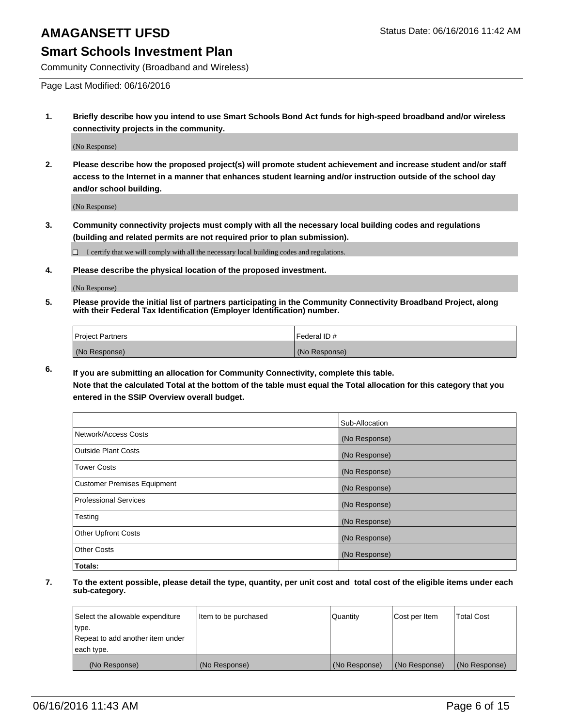#### **Smart Schools Investment Plan**

Community Connectivity (Broadband and Wireless)

Page Last Modified: 06/16/2016

**1. Briefly describe how you intend to use Smart Schools Bond Act funds for high-speed broadband and/or wireless connectivity projects in the community.**

(No Response)

**2. Please describe how the proposed project(s) will promote student achievement and increase student and/or staff access to the Internet in a manner that enhances student learning and/or instruction outside of the school day and/or school building.**

(No Response)

**3. Community connectivity projects must comply with all the necessary local building codes and regulations (building and related permits are not required prior to plan submission).**

 $\Box$  I certify that we will comply with all the necessary local building codes and regulations.

**4. Please describe the physical location of the proposed investment.**

(No Response)

**5. Please provide the initial list of partners participating in the Community Connectivity Broadband Project, along with their Federal Tax Identification (Employer Identification) number.**

| Project Partners | <b>IFederal ID#</b> |
|------------------|---------------------|
| (No Response)    | (No Response)       |

**6. If you are submitting an allocation for Community Connectivity, complete this table.**

**Note that the calculated Total at the bottom of the table must equal the Total allocation for this category that you entered in the SSIP Overview overall budget.**

|                             | Sub-Allocation |
|-----------------------------|----------------|
| Network/Access Costs        | (No Response)  |
| Outside Plant Costs         | (No Response)  |
| <b>Tower Costs</b>          | (No Response)  |
| Customer Premises Equipment | (No Response)  |
| Professional Services       | (No Response)  |
| Testing                     | (No Response)  |
| Other Upfront Costs         | (No Response)  |
| Other Costs                 | (No Response)  |
| Totals:                     |                |

| Select the allowable expenditure | Item to be purchased | Quantity      | Cost per Item | <b>Total Cost</b> |
|----------------------------------|----------------------|---------------|---------------|-------------------|
| type.                            |                      |               |               |                   |
| Repeat to add another item under |                      |               |               |                   |
| each type.                       |                      |               |               |                   |
| (No Response)                    | (No Response)        | (No Response) | (No Response) | (No Response)     |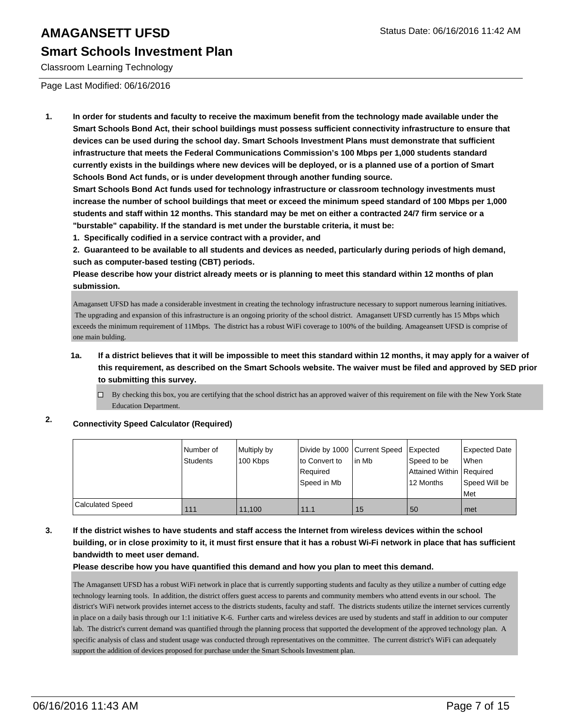#### **Smart Schools Investment Plan**

Classroom Learning Technology

Page Last Modified: 06/16/2016

**1. In order for students and faculty to receive the maximum benefit from the technology made available under the Smart Schools Bond Act, their school buildings must possess sufficient connectivity infrastructure to ensure that devices can be used during the school day. Smart Schools Investment Plans must demonstrate that sufficient infrastructure that meets the Federal Communications Commission's 100 Mbps per 1,000 students standard currently exists in the buildings where new devices will be deployed, or is a planned use of a portion of Smart Schools Bond Act funds, or is under development through another funding source.**

**Smart Schools Bond Act funds used for technology infrastructure or classroom technology investments must increase the number of school buildings that meet or exceed the minimum speed standard of 100 Mbps per 1,000 students and staff within 12 months. This standard may be met on either a contracted 24/7 firm service or a "burstable" capability. If the standard is met under the burstable criteria, it must be:**

**1. Specifically codified in a service contract with a provider, and**

**2. Guaranteed to be available to all students and devices as needed, particularly during periods of high demand, such as computer-based testing (CBT) periods.**

**Please describe how your district already meets or is planning to meet this standard within 12 months of plan submission.**

Amagansett UFSD has made a considerable investment in creating the technology infrastructure necessary to support numerous learning initiatives. The upgrading and expansion of this infrastructure is an ongoing priority of the school district. Amagansett UFSD currently has 15 Mbps which exceeds the minimum requirement of 11Mbps. The district has a robust WiFi coverage to 100% of the building. Amageansett UFSD is comprise of one main bulding.

#### **1a. If a district believes that it will be impossible to meet this standard within 12 months, it may apply for a waiver of this requirement, as described on the Smart Schools website. The waiver must be filed and approved by SED prior to submitting this survey.**

By checking this box, you are certifying that the school district has an approved waiver of this requirement on file with the New York State  $\Box$ Education Department.

**2. Connectivity Speed Calculator (Required)**

|                         | l Number of<br>Students | Multiply by<br>100 Kbps | Divide by 1000 Current Speed<br>to Convert to<br>Required<br>Speed in Mb | l in Mb | Expected<br>Speed to be<br>Attained Within Required<br>12 Months | <b>Expected Date</b><br>l When<br>Speed Will be<br>Met |
|-------------------------|-------------------------|-------------------------|--------------------------------------------------------------------------|---------|------------------------------------------------------------------|--------------------------------------------------------|
| <b>Calculated Speed</b> | 111                     | 11,100                  | 11.1                                                                     | 15      | 50                                                               | met                                                    |

#### **3. If the district wishes to have students and staff access the Internet from wireless devices within the school building, or in close proximity to it, it must first ensure that it has a robust Wi-Fi network in place that has sufficient bandwidth to meet user demand.**

**Please describe how you have quantified this demand and how you plan to meet this demand.**

The Amagansett UFSD has a robust WiFi network in place that is currently supporting students and faculty as they utilize a number of cutting edge technology learning tools. In addition, the district offers guest access to parents and community members who attend events in our school. The district's WiFi network provides internet access to the districts students, faculty and staff. The districts students utilize the internet services currently in place on a daily basis through our 1:1 initiative K-6. Further carts and wireless devices are used by students and staff in addition to our computer lab. The district's current demand was quantified through the planning process that supported the development of the approved technology plan. A specific analysis of class and student usage was conducted through representatives on the committee. The current district's WiFi can adequately support the addition of devices proposed for purchase under the Smart Schools Investment plan.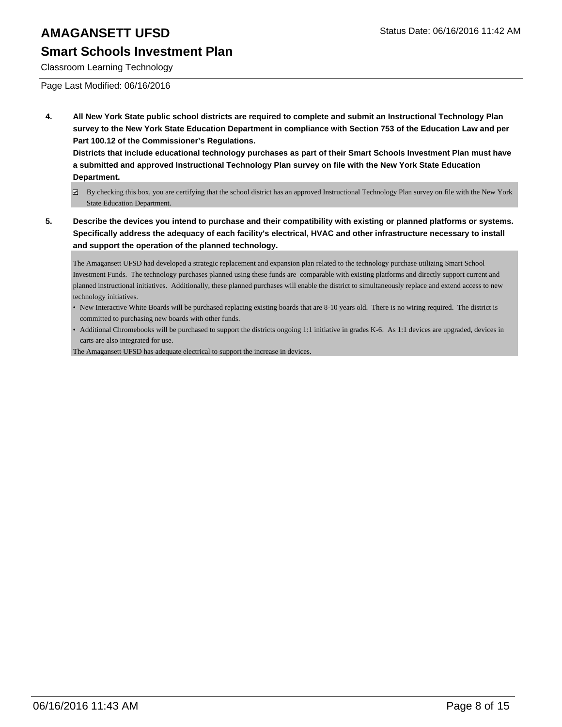### **Smart Schools Investment Plan**

Classroom Learning Technology

Page Last Modified: 06/16/2016

**4. All New York State public school districts are required to complete and submit an Instructional Technology Plan survey to the New York State Education Department in compliance with Section 753 of the Education Law and per Part 100.12 of the Commissioner's Regulations.**

**Districts that include educational technology purchases as part of their Smart Schools Investment Plan must have a submitted and approved Instructional Technology Plan survey on file with the New York State Education Department.**

- By checking this box, you are certifying that the school district has an approved Instructional Technology Plan survey on file with the New York State Education Department.
- **5. Describe the devices you intend to purchase and their compatibility with existing or planned platforms or systems. Specifically address the adequacy of each facility's electrical, HVAC and other infrastructure necessary to install and support the operation of the planned technology.**

The Amagansett UFSD had developed a strategic replacement and expansion plan related to the technology purchase utilizing Smart School Investment Funds. The technology purchases planned using these funds are comparable with existing platforms and directly support current and planned instructional initiatives. Additionally, these planned purchases will enable the district to simultaneously replace and extend access to new technology initiatives.

- New Interactive White Boards will be purchased replacing existing boards that are 8-10 years old. There is no wiring required. The district is committed to purchasing new boards with other funds.
- Additional Chromebooks will be purchased to support the districts ongoing 1:1 initiative in grades K-6. As 1:1 devices are upgraded, devices in carts are also integrated for use.

The Amagansett UFSD has adequate electrical to support the increase in devices.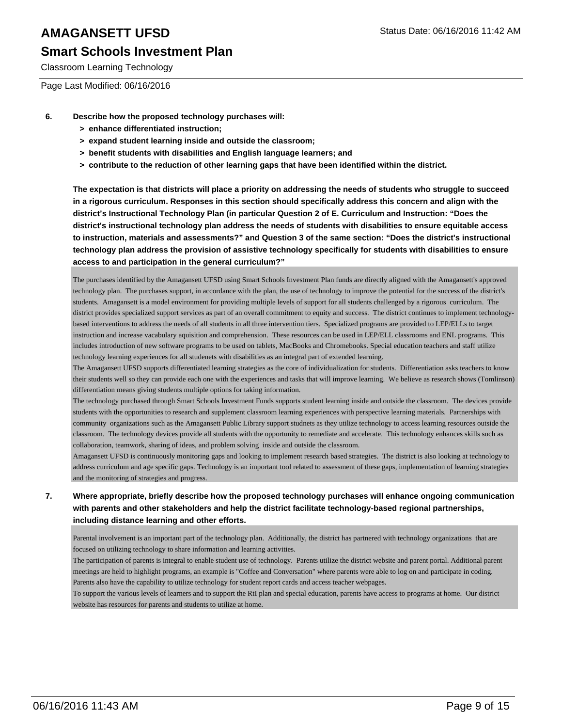# **Smart Schools Investment Plan**

Classroom Learning Technology

Page Last Modified: 06/16/2016

- **6. Describe how the proposed technology purchases will:**
	- **> enhance differentiated instruction;**
	- **> expand student learning inside and outside the classroom;**
	- **> benefit students with disabilities and English language learners; and**
	- **> contribute to the reduction of other learning gaps that have been identified within the district.**

**The expectation is that districts will place a priority on addressing the needs of students who struggle to succeed in a rigorous curriculum. Responses in this section should specifically address this concern and align with the district's Instructional Technology Plan (in particular Question 2 of E. Curriculum and Instruction: "Does the district's instructional technology plan address the needs of students with disabilities to ensure equitable access to instruction, materials and assessments?" and Question 3 of the same section: "Does the district's instructional technology plan address the provision of assistive technology specifically for students with disabilities to ensure access to and participation in the general curriculum?"**

The purchases identified by the Amagansett UFSD using Smart Schools Investment Plan funds are directly aligned with the Amagansett's approved technology plan. The purchases support, in accordance with the plan, the use of technology to improve the potential for the success of the district's students. Amagansett is a model environment for providing multiple levels of support for all students challenged by a rigorous curriculum. The district provides specialized support services as part of an overall commitment to equity and success. The district continues to implement technologybased interventions to address the needs of all students in all three intervention tiers. Specialized programs are provided to LEP/ELLs to target instruction and increase vacabulary aquisition and comprehension. These resources can be used in LEP/ELL classrooms and ENL programs. This includes introduction of new software programs to be used on tablets, MacBooks and Chromebooks. Special education teachers and staff utilize technology learning experiences for all studenets with disabilities as an integral part of extended learning.

The Amagansett UFSD supports differentiated learning strategies as the core of individualization for students. Differentiation asks teachers to know their students well so they can provide each one with the experiences and tasks that will improve learning. We believe as research shows (Tomlinson) differentiation means giving students multiple options for taking information.

The technology purchased through Smart Schools Investment Funds supports student learning inside and outside the classroom. The devices provide students with the opportunities to research and supplement classroom learning experiences with perspective learning materials. Partnerships with community organizations such as the Amagansett Public Library support studnets as they utilize technology to access learning resources outside the classroom. The technology devices provide all students with the opportunity to remediate and accelerate. This technology enhances skills such as collaboration, teamwork, sharing of ideas, and problem solving inside and outside the classroom.

Amagansett UFSD is continuously monitoring gaps and looking to implement research based strategies. The district is also looking at technology to address curriculum and age specific gaps. Technology is an important tool related to assessment of these gaps, implementation of learning strategies and the monitoring of strategies and progress.

#### **7. Where appropriate, briefly describe how the proposed technology purchases will enhance ongoing communication with parents and other stakeholders and help the district facilitate technology-based regional partnerships, including distance learning and other efforts.**

Parental involvement is an important part of the technology plan. Additionally, the district has partnered with technology organizations that are focused on utilizing technology to share information and learning activities.

The participation of parents is integral to enable student use of technology. Parents utilize the district website and parent portal. Additional parent meetings are held to highlight programs, an example is "Coffee and Conversation" where parents were able to log on and participate in coding. Parents also have the capability to utilize technology for student report cards and access teacher webpages.

To support the various levels of learners and to support the RtI plan and special education, parents have access to programs at home. Our district website has resources for parents and students to utilize at home.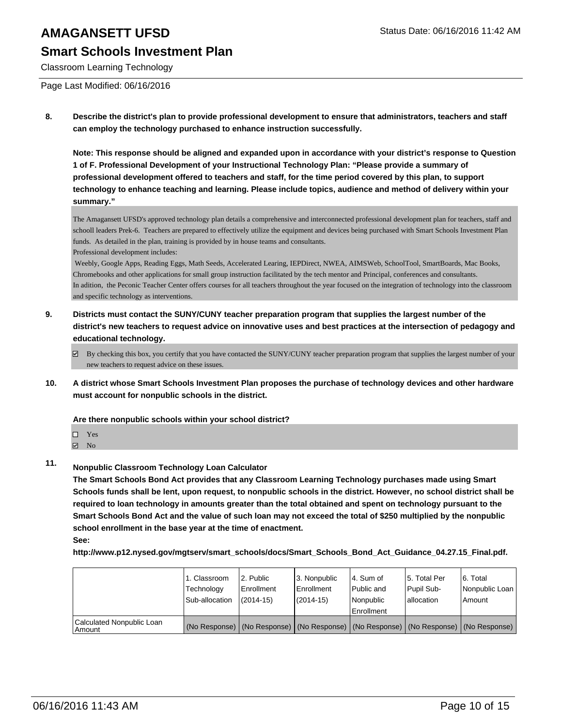### **Smart Schools Investment Plan**

Classroom Learning Technology

Page Last Modified: 06/16/2016

**8. Describe the district's plan to provide professional development to ensure that administrators, teachers and staff can employ the technology purchased to enhance instruction successfully.**

**Note: This response should be aligned and expanded upon in accordance with your district's response to Question 1 of F. Professional Development of your Instructional Technology Plan: "Please provide a summary of professional development offered to teachers and staff, for the time period covered by this plan, to support technology to enhance teaching and learning. Please include topics, audience and method of delivery within your summary."**

The Amagansett UFSD's approved technology plan details a comprehensive and interconnected professional development plan for teachers, staff and schooll leaders Prek-6. Teachers are prepared to effectively utilize the equipment and devices being purchased with Smart Schools Investment Plan funds. As detailed in the plan, training is provided by in house teams and consultants.

Professional development includes:

 Weebly, Google Apps, Reading Eggs, Math Seeds, Accelerated Learing, IEPDirect, NWEA, AIMSWeb, SchoolTool, SmartBoards, Mac Books, Chromebooks and other applications for small group instruction facilitated by the tech mentor and Principal, conferences and consultants. In adition, the Peconic Teacher Center offers courses for all teachers throughout the year focused on the integration of technology into the classroom and specific technology as interventions.

- **9. Districts must contact the SUNY/CUNY teacher preparation program that supplies the largest number of the district's new teachers to request advice on innovative uses and best practices at the intersection of pedagogy and educational technology.**
	- By checking this box, you certify that you have contacted the SUNY/CUNY teacher preparation program that supplies the largest number of your new teachers to request advice on these issues.
- **10. A district whose Smart Schools Investment Plan proposes the purchase of technology devices and other hardware must account for nonpublic schools in the district.**

**Are there nonpublic schools within your school district?**

- $\blacksquare$  No
- **11. Nonpublic Classroom Technology Loan Calculator**

**The Smart Schools Bond Act provides that any Classroom Learning Technology purchases made using Smart Schools funds shall be lent, upon request, to nonpublic schools in the district. However, no school district shall be required to loan technology in amounts greater than the total obtained and spent on technology pursuant to the Smart Schools Bond Act and the value of such loan may not exceed the total of \$250 multiplied by the nonpublic school enrollment in the base year at the time of enactment.**

**See:**

**http://www.p12.nysed.gov/mgtserv/smart\_schools/docs/Smart\_Schools\_Bond\_Act\_Guidance\_04.27.15\_Final.pdf.**

|                                       | 1. Classroom<br>Technology<br>Sub-allocation | 2. Public<br>Enrollment<br>$(2014 - 15)$                                                      | 3. Nonpublic<br>Enrollment<br>$(2014 - 15)$ | l 4. Sum of<br>l Public and<br>Nonpublic | 15. Total Per<br>Pupil Sub-<br>lallocation | 6. Total<br>l Nonpublic Loan I<br>Amount |
|---------------------------------------|----------------------------------------------|-----------------------------------------------------------------------------------------------|---------------------------------------------|------------------------------------------|--------------------------------------------|------------------------------------------|
|                                       |                                              |                                                                                               |                                             | Enrollment                               |                                            |                                          |
| Calculated Nonpublic Loan<br>  Amount |                                              | (No Response)   (No Response)   (No Response)   (No Response)   (No Response)   (No Response) |                                             |                                          |                                            |                                          |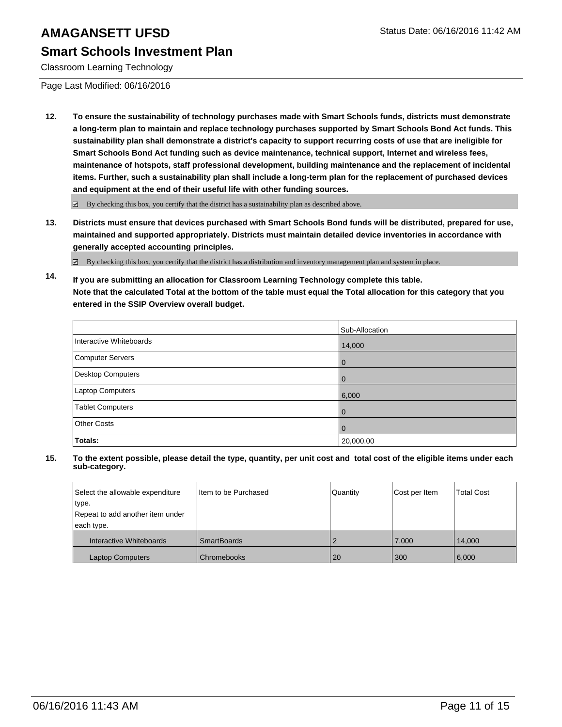### **Smart Schools Investment Plan**

Classroom Learning Technology

Page Last Modified: 06/16/2016

**12. To ensure the sustainability of technology purchases made with Smart Schools funds, districts must demonstrate a long-term plan to maintain and replace technology purchases supported by Smart Schools Bond Act funds. This sustainability plan shall demonstrate a district's capacity to support recurring costs of use that are ineligible for Smart Schools Bond Act funding such as device maintenance, technical support, Internet and wireless fees, maintenance of hotspots, staff professional development, building maintenance and the replacement of incidental items. Further, such a sustainability plan shall include a long-term plan for the replacement of purchased devices and equipment at the end of their useful life with other funding sources.**

By checking this box, you certify that the district has a sustainability plan as described above.

**13. Districts must ensure that devices purchased with Smart Schools Bond funds will be distributed, prepared for use, maintained and supported appropriately. Districts must maintain detailed device inventories in accordance with generally accepted accounting principles.**

By checking this box, you certify that the district has a distribution and inventory management plan and system in place.

**14. If you are submitting an allocation for Classroom Learning Technology complete this table. Note that the calculated Total at the bottom of the table must equal the Total allocation for this category that you entered in the SSIP Overview overall budget.**

|                         | Sub-Allocation |
|-------------------------|----------------|
| Interactive Whiteboards | 14,000         |
| Computer Servers        | O              |
| Desktop Computers       | 0              |
| Laptop Computers        | 6,000          |
| Tablet Computers        | $\Omega$       |
| <b>Other Costs</b>      | O              |
| Totals:                 | 20,000.00      |

| Select the allowable expenditure<br>type. | Iltem to be Purchased | Quantity | Cost per Item | <b>Total Cost</b> |
|-------------------------------------------|-----------------------|----------|---------------|-------------------|
| Repeat to add another item under          |                       |          |               |                   |
| each type.                                |                       |          |               |                   |
| Interactive Whiteboards                   | <b>SmartBoards</b>    |          | 7.000         | 14.000            |
| <b>Laptop Computers</b>                   | Chromebooks           | 20       | 300           | 6,000             |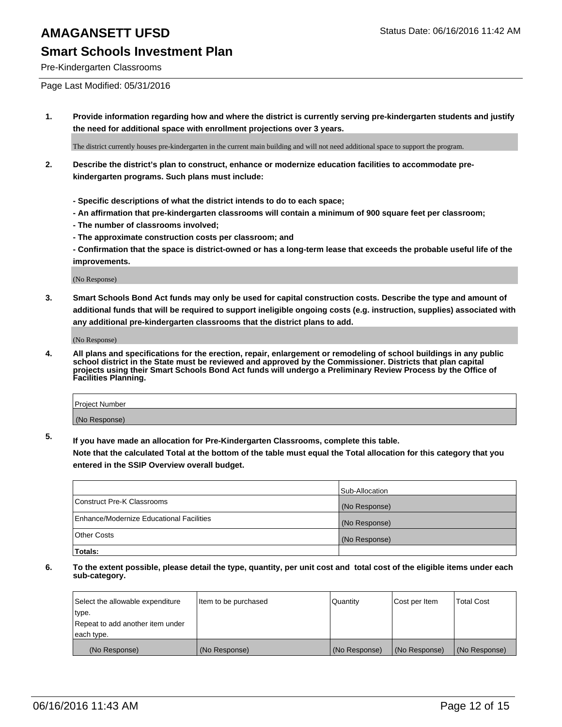### **Smart Schools Investment Plan**

Pre-Kindergarten Classrooms

Page Last Modified: 05/31/2016

**1. Provide information regarding how and where the district is currently serving pre-kindergarten students and justify the need for additional space with enrollment projections over 3 years.**

The district currently houses pre-kindergarten in the current main building and will not need additional space to support the program.

- **2. Describe the district's plan to construct, enhance or modernize education facilities to accommodate prekindergarten programs. Such plans must include:**
	- **Specific descriptions of what the district intends to do to each space;**
	- **An affirmation that pre-kindergarten classrooms will contain a minimum of 900 square feet per classroom;**
	- **The number of classrooms involved;**
	- **The approximate construction costs per classroom; and**
	- **Confirmation that the space is district-owned or has a long-term lease that exceeds the probable useful life of the improvements.**

(No Response)

**3. Smart Schools Bond Act funds may only be used for capital construction costs. Describe the type and amount of additional funds that will be required to support ineligible ongoing costs (e.g. instruction, supplies) associated with any additional pre-kindergarten classrooms that the district plans to add.**

(No Response)

**4. All plans and specifications for the erection, repair, enlargement or remodeling of school buildings in any public school district in the State must be reviewed and approved by the Commissioner. Districts that plan capital projects using their Smart Schools Bond Act funds will undergo a Preliminary Review Process by the Office of Facilities Planning.**

| Project Number |  |
|----------------|--|
| (No Response)  |  |

**5. If you have made an allocation for Pre-Kindergarten Classrooms, complete this table.**

**Note that the calculated Total at the bottom of the table must equal the Total allocation for this category that you entered in the SSIP Overview overall budget.**

|                                          | Sub-Allocation |
|------------------------------------------|----------------|
| Construct Pre-K Classrooms               | (No Response)  |
| Enhance/Modernize Educational Facilities | (No Response)  |
| Other Costs                              | (No Response)  |
| Totals:                                  |                |

| Select the allowable expenditure | Item to be purchased | Quantity      | Cost per Item | <b>Total Cost</b> |
|----------------------------------|----------------------|---------------|---------------|-------------------|
| type.                            |                      |               |               |                   |
| Repeat to add another item under |                      |               |               |                   |
| each type.                       |                      |               |               |                   |
| (No Response)                    | (No Response)        | (No Response) | (No Response) | (No Response)     |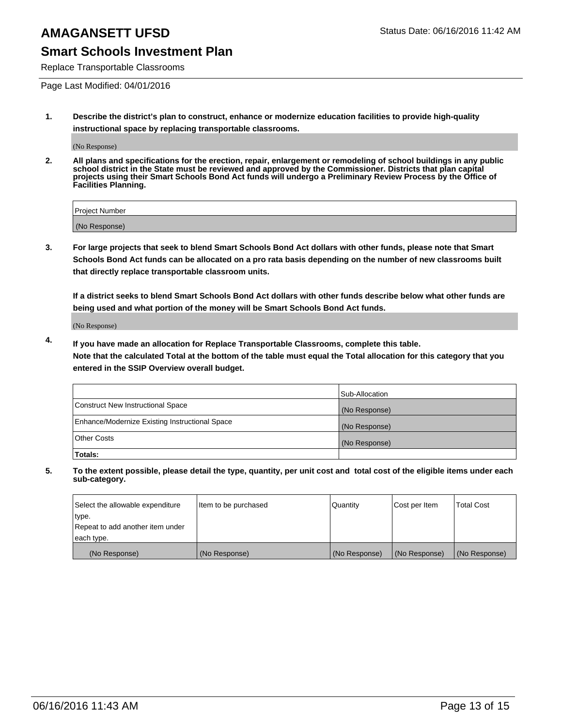### **Smart Schools Investment Plan**

Replace Transportable Classrooms

Page Last Modified: 04/01/2016

**1. Describe the district's plan to construct, enhance or modernize education facilities to provide high-quality instructional space by replacing transportable classrooms.**

(No Response)

**2. All plans and specifications for the erection, repair, enlargement or remodeling of school buildings in any public school district in the State must be reviewed and approved by the Commissioner. Districts that plan capital projects using their Smart Schools Bond Act funds will undergo a Preliminary Review Process by the Office of Facilities Planning.**

| <b>Project Number</b> |  |
|-----------------------|--|
| (No Response)         |  |

**3. For large projects that seek to blend Smart Schools Bond Act dollars with other funds, please note that Smart Schools Bond Act funds can be allocated on a pro rata basis depending on the number of new classrooms built that directly replace transportable classroom units.**

**If a district seeks to blend Smart Schools Bond Act dollars with other funds describe below what other funds are being used and what portion of the money will be Smart Schools Bond Act funds.**

(No Response)

**4. If you have made an allocation for Replace Transportable Classrooms, complete this table. Note that the calculated Total at the bottom of the table must equal the Total allocation for this category that you entered in the SSIP Overview overall budget.**

|                                                | Sub-Allocation |
|------------------------------------------------|----------------|
| Construct New Instructional Space              | (No Response)  |
| Enhance/Modernize Existing Instructional Space | (No Response)  |
| <b>Other Costs</b>                             | (No Response)  |
| Totals:                                        |                |

| Select the allowable expenditure | Item to be purchased | <b>Quantity</b> | Cost per Item | <b>Total Cost</b> |
|----------------------------------|----------------------|-----------------|---------------|-------------------|
| type.                            |                      |                 |               |                   |
| Repeat to add another item under |                      |                 |               |                   |
| each type.                       |                      |                 |               |                   |
| (No Response)                    | (No Response)        | (No Response)   | (No Response) | (No Response)     |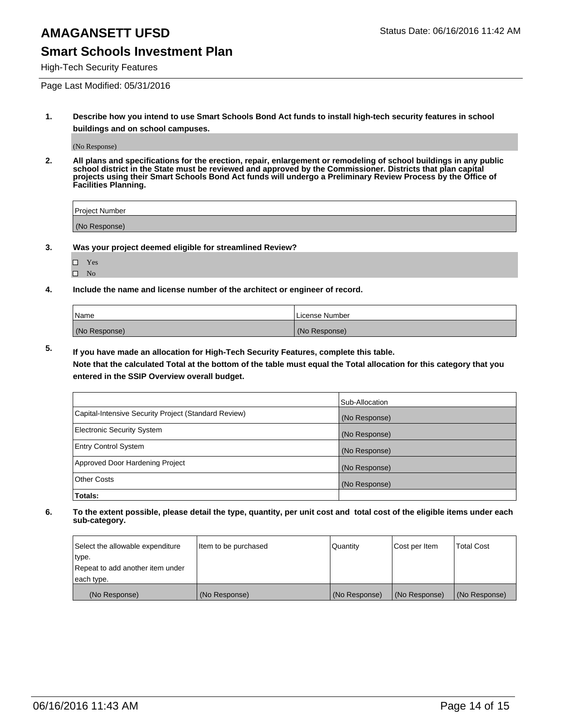### **Smart Schools Investment Plan**

High-Tech Security Features

Page Last Modified: 05/31/2016

**1. Describe how you intend to use Smart Schools Bond Act funds to install high-tech security features in school buildings and on school campuses.**

(No Response)

**2. All plans and specifications for the erection, repair, enlargement or remodeling of school buildings in any public school district in the State must be reviewed and approved by the Commissioner. Districts that plan capital projects using their Smart Schools Bond Act funds will undergo a Preliminary Review Process by the Office of Facilities Planning.** 

| Project Number |  |
|----------------|--|
| (No Response)  |  |

**3. Was your project deemed eligible for streamlined Review?**

| L | Yes |  |
|---|-----|--|
| П | Nο  |  |

**4. Include the name and license number of the architect or engineer of record.**

| Name          | License Number |
|---------------|----------------|
| (No Response) | (No Response)  |

**5. If you have made an allocation for High-Tech Security Features, complete this table.**

**Note that the calculated Total at the bottom of the table must equal the Total allocation for this category that you entered in the SSIP Overview overall budget.**

|                                                      | Sub-Allocation |
|------------------------------------------------------|----------------|
| Capital-Intensive Security Project (Standard Review) | (No Response)  |
| <b>Electronic Security System</b>                    | (No Response)  |
| <b>Entry Control System</b>                          | (No Response)  |
| Approved Door Hardening Project                      | (No Response)  |
| <b>Other Costs</b>                                   | (No Response)  |
| Totals:                                              |                |

| Select the allowable expenditure | Item to be purchased | Quantity      | Cost per Item | <b>Total Cost</b> |
|----------------------------------|----------------------|---------------|---------------|-------------------|
| type.                            |                      |               |               |                   |
| Repeat to add another item under |                      |               |               |                   |
| each type.                       |                      |               |               |                   |
| (No Response)                    | (No Response)        | (No Response) | (No Response) | (No Response)     |